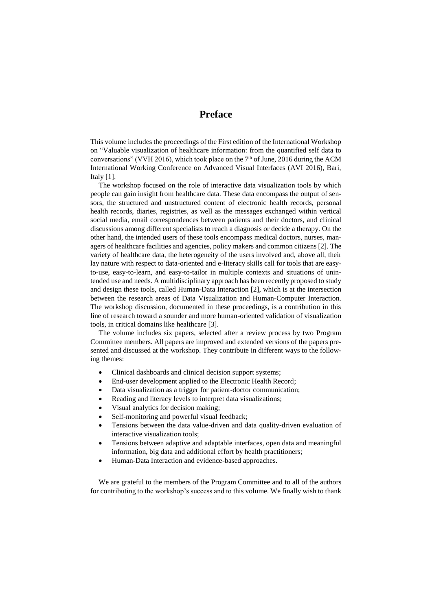## **Preface**

This volume includes the proceedings of the First edition of the International Workshop on "Valuable visualization of healthcare information: from the quantified self data to conversations" (VVH 2016), which took place on the  $7<sup>th</sup>$  of June, 2016 during the ACM International Working Conference on Advanced Visual Interfaces (AVI 2016), Bari, Italy [1].

The workshop focused on the role of interactive data visualization tools by which people can gain insight from healthcare data. These data encompass the output of sensors, the structured and unstructured content of electronic health records, personal health records, diaries, registries, as well as the messages exchanged within vertical social media, email correspondences between patients and their doctors, and clinical discussions among different specialists to reach a diagnosis or decide a therapy. On the other hand, the intended users of these tools encompass medical doctors, nurses, managers of healthcare facilities and agencies, policy makers and common citizens [2]. The variety of healthcare data, the heterogeneity of the users involved and, above all, their lay nature with respect to data-oriented and e-literacy skills call for tools that are easyto-use, easy-to-learn, and easy-to-tailor in multiple contexts and situations of unintended use and needs. A multidisciplinary approach has been recently proposed to study and design these tools, called Human-Data Interaction [2], which is at the intersection between the research areas of Data Visualization and Human-Computer Interaction. The workshop discussion, documented in these proceedings, is a contribution in this line of research toward a sounder and more human-oriented validation of visualization tools, in critical domains like healthcare [3].

The volume includes six papers, selected after a review process by two Program Committee members. All papers are improved and extended versions of the papers presented and discussed at the workshop. They contribute in different ways to the following themes:

- Clinical dashboards and clinical decision support systems;
- End-user development applied to the Electronic Health Record;
- Data visualization as a trigger for patient-doctor communication;
- Reading and literacy levels to interpret data visualizations;
- Visual analytics for decision making;
- Self-monitoring and powerful visual feedback;
- Tensions between the data value-driven and data quality-driven evaluation of interactive visualization tools;
- Tensions between adaptive and adaptable interfaces, open data and meaningful information, big data and additional effort by health practitioners;
- Human-Data Interaction and evidence-based approaches.

We are grateful to the members of the Program Committee and to all of the authors for contributing to the workshop's success and to this volume. We finally wish to thank